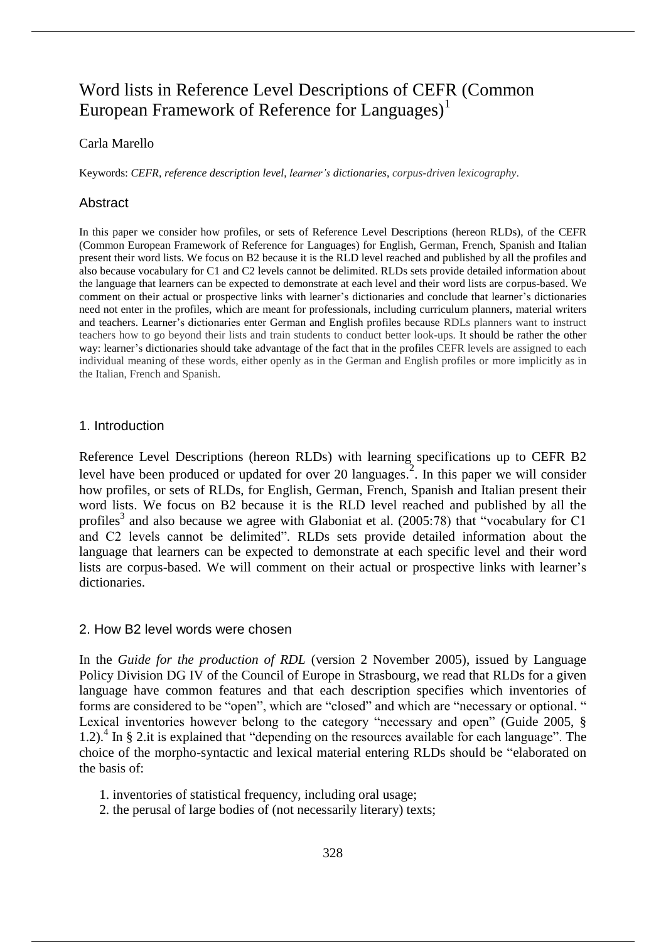# Word lists in Reference Level Descriptions of CEFR (Common European Framework of Reference for Languages)<sup>1</sup>

# Carla Marello

Keywords: *CEFR*, *reference description level*, *learner's dictionaries*, *corpus-driven lexicography*.

### Abstract

In this paper we consider how profiles, or sets of Reference Level Descriptions (hereon RLDs), of the CEFR (Common European Framework of Reference for Languages) for English, German, French, Spanish and Italian present their word lists. We focus on B2 because it is the RLD level reached and published by all the profiles and also because vocabulary for C1 and C2 levels cannot be delimited. RLDs sets provide detailed information about the language that learners can be expected to demonstrate at each level and their word lists are corpus-based. We comment on their actual or prospective links with learner's dictionaries and conclude that learner's dictionaries need not enter in the profiles, which are meant for professionals, including curriculum planners, material writers and teachers. Learner's dictionaries enter German and English profiles because RDLs planners want to instruct teachers how to go beyond their lists and train students to conduct better look-ups. It should be rather the other way: learner's dictionaries should take advantage of the fact that in the profiles CEFR levels are assigned to each individual meaning of these words, either openly as in the German and English profiles or more implicitly as in the Italian, French and Spanish.

### 1. Introduction

Reference Level Descriptions (hereon RLDs) with learning specifications up to CEFR B2 level have been produced or updated for over 20 languages.<sup>2</sup>. In this paper we will consider how profiles, or sets of RLDs, for English, German, French, Spanish and Italian present their word lists. We focus on B2 because it is the RLD level reached and published by all the profiles<sup>3</sup> and also because we agree with Glaboniat et al. (2005:78) that "vocabulary for C1 and C2 levels cannot be delimited". RLDs sets provide detailed information about the language that learners can be expected to demonstrate at each specific level and their word lists are corpus-based. We will comment on their actual or prospective links with learner's dictionaries.

### 2. How B2 level words were chosen

In the *Guide for the production of RDL* (version 2 November 2005), issued by Language Policy Division DG IV of the Council of Europe in Strasbourg, we read that RLDs for a given language have common features and that each description specifies which inventories of forms are considered to be "open", which are "closed" and which are "necessary or optional. " Lexical inventories however belong to the category "necessary and open" (Guide 2005, § 1.2). 4 In § 2.it is explained that "depending on the resources available for each language". The choice of the morpho-syntactic and lexical material entering RLDs should be "elaborated on the basis of:

- 1. inventories of statistical frequency, including oral usage;
- 2. the perusal of large bodies of (not necessarily literary) texts;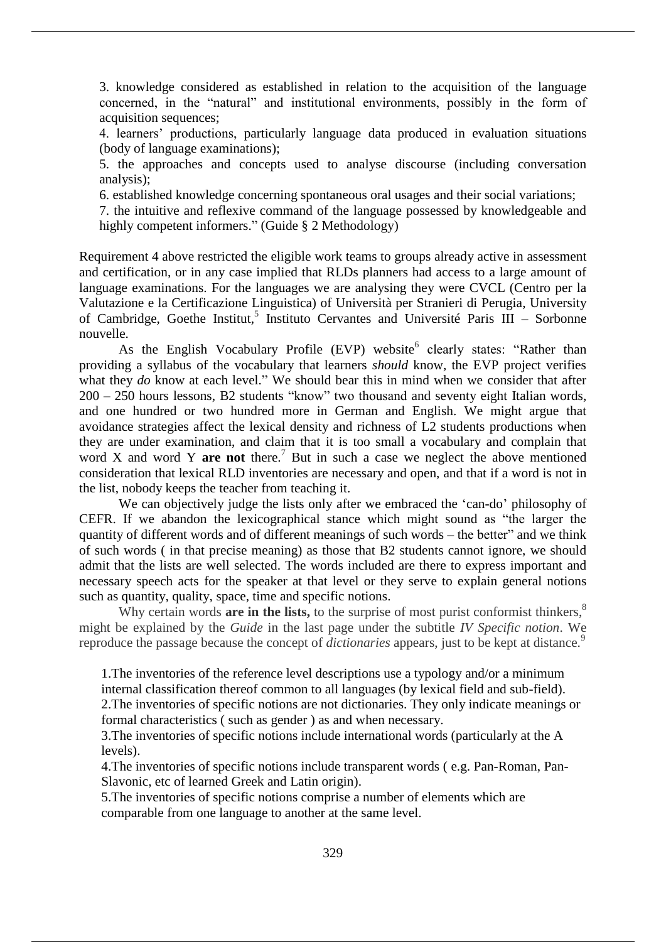3. knowledge considered as established in relation to the acquisition of the language concerned, in the "natural" and institutional environments, possibly in the form of acquisition sequences;

4. learners' productions, particularly language data produced in evaluation situations (body of language examinations);

5. the approaches and concepts used to analyse discourse (including conversation analysis);

6. established knowledge concerning spontaneous oral usages and their social variations;

7. the intuitive and reflexive command of the language possessed by knowledgeable and highly competent informers." (Guide § 2 Methodology)

Requirement 4 above restricted the eligible work teams to groups already active in assessment and certification, or in any case implied that RLDs planners had access to a large amount of language examinations. For the languages we are analysing they were CVCL (Centro per la Valutazione e la Certificazione Linguistica) of Università per Stranieri di Perugia, University of Cambridge, Goethe Institut,<sup>5</sup> Instituto Cervantes and Université Paris III - Sorbonne nouvelle.

As the English Vocabulary Profile (EVP) website<sup>6</sup> clearly states: "Rather than providing a syllabus of the vocabulary that learners *should* know, the EVP project verifies what they *do* know at each level." We should bear this in mind when we consider that after 200 – 250 hours lessons, B2 students "know" two thousand and seventy eight Italian words, and one hundred or two hundred more in German and English. We might argue that avoidance strategies affect the lexical density and richness of L2 students productions when they are under examination, and claim that it is too small a vocabulary and complain that word X and word Y **are not** there. <sup>7</sup> But in such a case we neglect the above mentioned consideration that lexical RLD inventories are necessary and open, and that if a word is not in the list, nobody keeps the teacher from teaching it.

We can objectively judge the lists only after we embraced the 'can-do' philosophy of CEFR. If we abandon the lexicographical stance which might sound as "the larger the quantity of different words and of different meanings of such words – the better" and we think of such words ( in that precise meaning) as those that B2 students cannot ignore, we should admit that the lists are well selected. The words included are there to express important and necessary speech acts for the speaker at that level or they serve to explain general notions such as quantity, quality, space, time and specific notions.

Why certain words **are in the lists**, to the surprise of most purist conformist thinkers,<sup>8</sup> might be explained by the *Guide* in the last page under the subtitle *IV Specific notion*. We reproduce the passage because the concept of *dictionaries* appears, just to be kept at distance.<sup>9</sup>

1.The inventories of the reference level descriptions use a typology and/or a minimum internal classification thereof common to all languages (by lexical field and sub-field).

2.The inventories of specific notions are not dictionaries. They only indicate meanings or formal characteristics ( such as gender ) as and when necessary.

3.The inventories of specific notions include international words (particularly at the A levels).

4.The inventories of specific notions include transparent words ( e.g. Pan-Roman, Pan-Slavonic, etc of learned Greek and Latin origin).

5.The inventories of specific notions comprise a number of elements which are comparable from one language to another at the same level.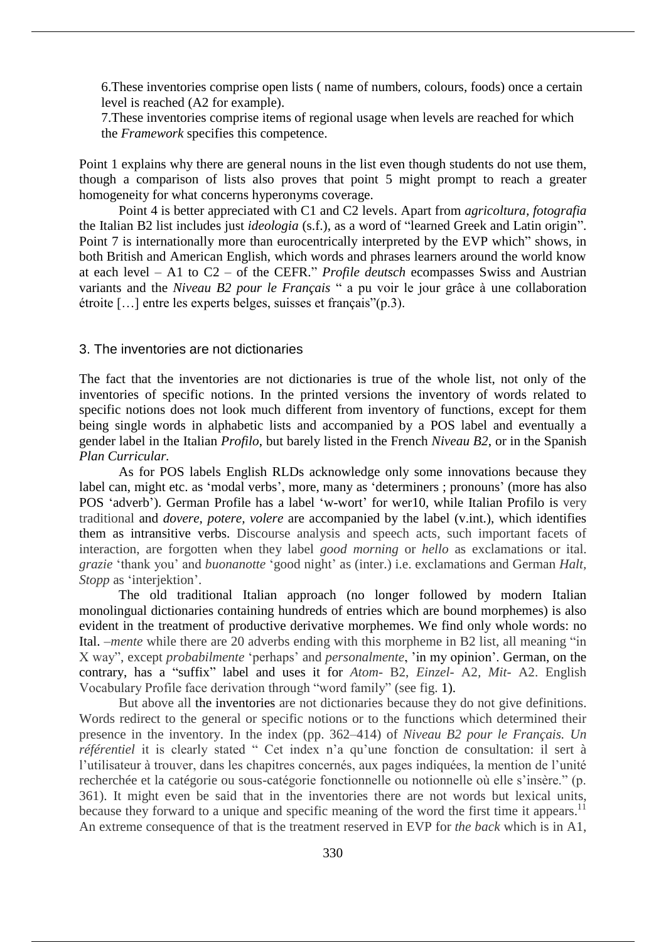6.These inventories comprise open lists ( name of numbers, colours, foods) once a certain level is reached (A2 for example).

7.These inventories comprise items of regional usage when levels are reached for which the *Framework* specifies this competence.

Point 1 explains why there are general nouns in the list even though students do not use them, though a comparison of lists also proves that point 5 might prompt to reach a greater homogeneity for what concerns hyperonyms coverage.

Point 4 is better appreciated with C1 and C2 levels. Apart from *agricoltura, fotografia* the Italian B2 list includes just *ideologia* (s.f.), as a word of "learned Greek and Latin origin". Point 7 is internationally more than eurocentrically interpreted by the EVP which" shows, in both British and American English, which words and phrases learners around the world know at each level – A1 to C2 – of the CEFR." *Profile deutsch* ecompasses Swiss and Austrian variants and the *Niveau B2 pour le Français* " a pu voir le jour grâce à une collaboration étroite […] entre les experts belges, suisses et français"(p.3).

### 3. The inventories are not dictionaries

The fact that the inventories are not dictionaries is true of the whole list, not only of the inventories of specific notions. In the printed versions the inventory of words related to specific notions does not look much different from inventory of functions, except for them being single words in alphabetic lists and accompanied by a POS label and eventually a gender label in the Italian *Profilo*, but barely listed in the French *Niveau B2*, or in the Spanish *Plan Curricular.*

As for POS labels English RLDs acknowledge only some innovations because they label can, might etc. as 'modal verbs', more, many as 'determiners ; pronouns' (more has also POS 'adverb'). German Profile has a label 'w-wort' for wer10, while Italian Profilo is very traditional and *dovere, potere, volere* are accompanied by the label (v.int.), which identifies them as intransitive verbs. Discourse analysis and speech acts, such important facets of interaction, are forgotten when they label *good morning* or *hello* as exclamations or ital. *grazie* 'thank you' and *buonanotte* 'good night' as (inter.) i.e. exclamations and German *Halt, Stopp* as 'interjektion'.

The old traditional Italian approach (no longer followed by modern Italian monolingual dictionaries containing hundreds of entries which are bound morphemes) is also evident in the treatment of productive derivative morphemes. We find only whole words: no Ital. –*mente* while there are 20 adverbs ending with this morpheme in B2 list, all meaning "in X way", except *probabilmente* 'perhaps' and *personalmente*, 'in my opinion'. German, on the contrary, has a "suffix" label and uses it for *Atom*- B2, *Einzel-* A2*, Mit*- A2. English Vocabulary Profile face derivation through "word family" (see fig. 1).

But above all the inventories are not dictionaries because they do not give definitions. Words redirect to the general or specific notions or to the functions which determined their presence in the inventory. In the index (pp. 362–414) of *Niveau B2 pour le Français. Un référentiel* it is clearly stated " Cet index n'a qu'une fonction de consultation: il sert à l'utilisateur à trouver, dans les chapitres concernés, aux pages indiquées, la mention de l'unité recherchée et la catégorie ou sous-catégorie fonctionnelle ou notionnelle où elle s'insère." (p. 361). It might even be said that in the inventories there are not words but lexical units, because they forward to a unique and specific meaning of the word the first time it appears.<sup>11</sup> An extreme consequence of that is the treatment reserved in EVP for *the back* which is in A1,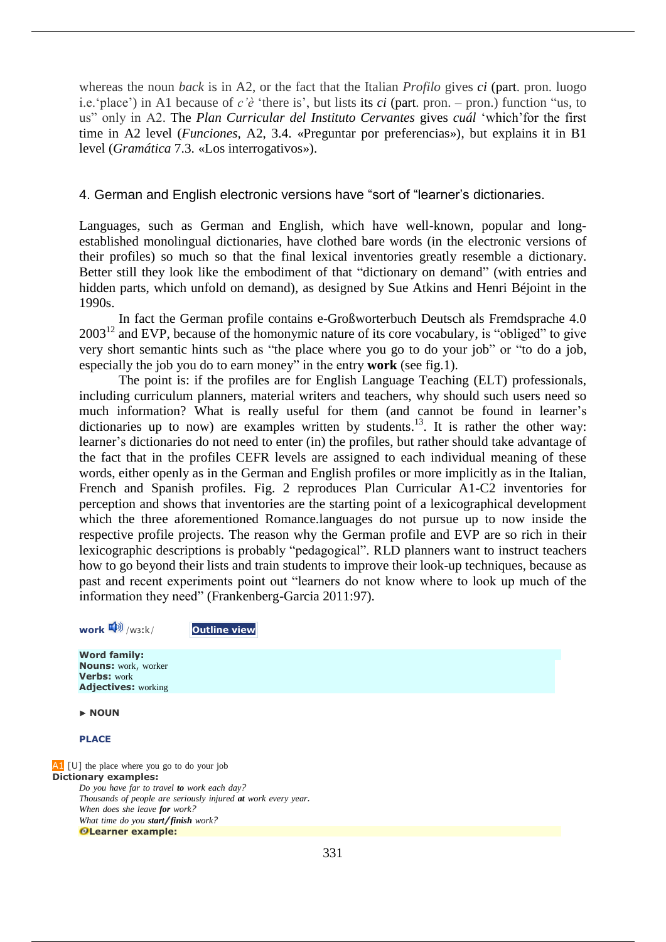whereas the noun *back* is in A2, or the fact that the Italian *Profilo* gives *ci* (part. pron. luogo i.e.'place') in A1 because of *c'è* 'there is', but lists its *ci* (part. pron. – pron.) function "us, to us" only in A2. The *Plan Curricular del Instituto Cervantes* gives *cuál* 'which'for the first time in A2 level (*Funciones,* A2, 3.4. «Preguntar por preferencias»), but explains it in B1 level (*Gramática* 7.3. «Los interrogativos»).

# 4. German and English electronic versions have "sort of "learner's dictionaries.

Languages, such as German and English, which have well-known, popular and longestablished monolingual dictionaries, have clothed bare words (in the electronic versions of their profiles) so much so that the final lexical inventories greatly resemble a dictionary. Better still they look like the embodiment of that "dictionary on demand" (with entries and hidden parts, which unfold on demand), as designed by Sue Atkins and Henri Béjoint in the 1990s.

In fact the German profile contains e-Großworterbuch Deutsch als Fremdsprache 4.0  $2003^{12}$  and EVP, because of the homonymic nature of its core vocabulary, is "obliged" to give very short semantic hints such as "the place where you go to do your job" or "to do a job, especially the job you do to earn money" in the entry **work** (see fig.1).

The point is: if the profiles are for English Language Teaching (ELT) professionals, including curriculum planners, material writers and teachers, why should such users need so much information? What is really useful for them (and cannot be found in learner's dictionaries up to now) are examples written by students.<sup>13</sup>. It is rather the other way: learner's dictionaries do not need to enter (in) the profiles, but rather should take advantage of the fact that in the profiles CEFR levels are assigned to each individual meaning of these words, either openly as in the German and English profiles or more implicitly as in the Italian, French and Spanish profiles. Fig. 2 reproduces Plan Curricular A1-C2 inventories for perception and shows that inventories are the starting point of a lexicographical development which the three aforementioned Romance.languages do not pursue up to now inside the respective profile projects. The reason why the German profile and EVP are so rich in their lexicographic descriptions is probably "pedagogical". RLD planners want to instruct teachers how to go beyond their lists and train students to improve their look-up techniques, because as past and recent experiments point out "learners do not know where to look up much of the information they need" (Frankenberg-Garcia 2011:97).

**work**  $\mathbf{Q}^{(i)}$  /wɜːk/ **Outline view** 

**Word family: Nouns:** work, worker **Verbs:** work **Adjectives:** working

▶ **NOUN**

**PLACE**

A<sub>1</sub> [U] the place where you go to do your job **Dictionary examples:** *Do you have far to travel to work each day? Thousands of people are seriously injured at work every year. When does she leave for work? What time do you start/finish work?* **Learner example:**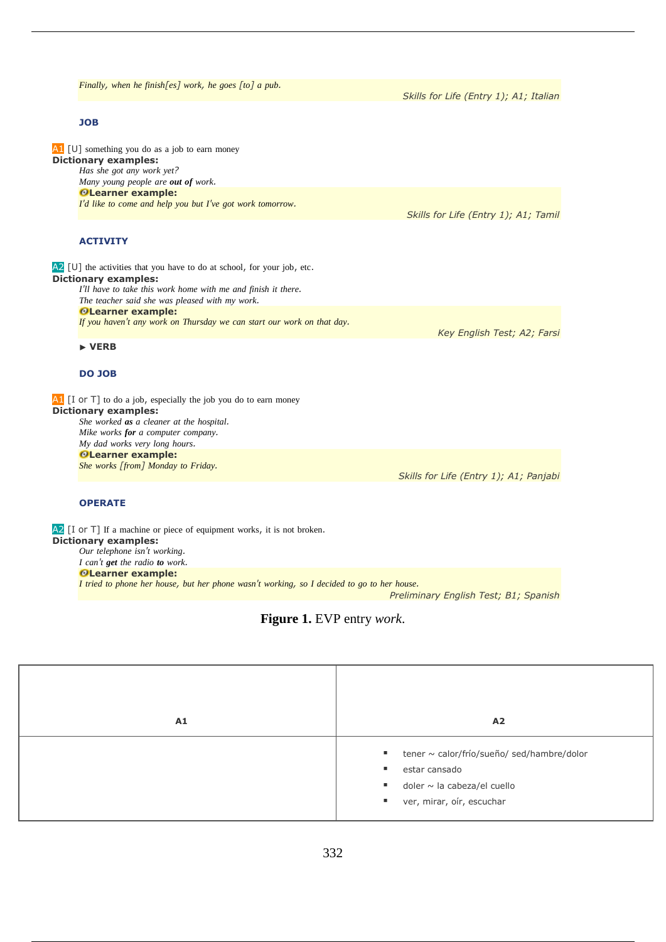*Finally, when he finish[es] work, he goes [to] a pub.* 

#### **JOB**

A1 [U] something you do as a job to earn money **Dictionary examples:** *Has she got any work yet? Many young people are out of work.* **Learner example:**  *I'd like to come and help you but I've got work tomorrow.* 

### **ACTIVITY**

A2 [U] the activities that you have to do at school, for your job, etc. **Dictionary examples:** *I'll have to take this work home with me and finish it there. The teacher said she was pleased with my work.* **Learner example:**  *If you haven't any work on Thursday we can start our work on that day.* 

#### ▶ **VERB**

#### **DO JOB**

 $\overline{A1}$  [I or T] to do a job, especially the job you do to earn money **Dictionary examples:** *She worked as a cleaner at the hospital. Mike works for a computer company. My dad works very long hours.* **Learner example:**  *She works [from] Monday to Friday.* 

*Skills for Life (Entry 1); A1; Panjabi*

#### **OPERATE**

A2 [I or T] If a machine or piece of equipment works, it is not broken. **Dictionary examples:** *Our telephone isn't working. I can't get the radio to work.* **Learner example:**  I tried to phone her house, but her phone wasn't working, so I decided to go to her house.

*Preliminary English Test; B1; Spanish*

### **Figure 1.** EVP entry *work*.



*Skills for Life (Entry 1); A1; Italian*

*Skills for Life (Entry 1); A1; Tamil*

*Key English Test; A2; Farsi*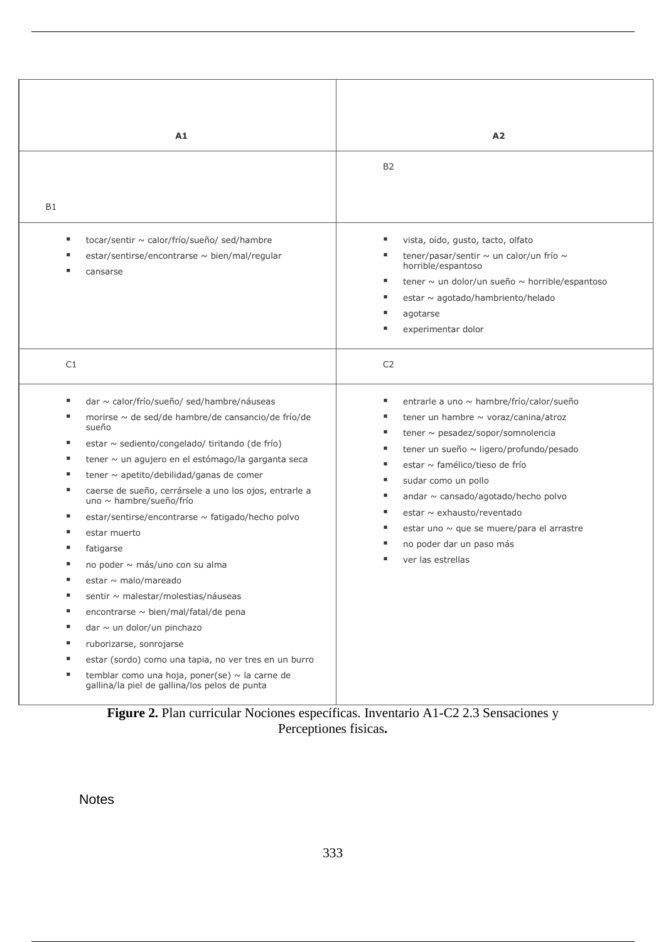| A1                                                                                                       | A <sub>2</sub>                                                |
|----------------------------------------------------------------------------------------------------------|---------------------------------------------------------------|
|                                                                                                          | <b>B2</b>                                                     |
|                                                                                                          |                                                               |
| B1                                                                                                       |                                                               |
|                                                                                                          |                                                               |
| tocar/sentir ~ calor/frío/sueño/ sed/hambre<br>ш                                                         | vista, oído, gusto, tacto, olfato                             |
| estar/sentirse/encontrarse ~ bien/mal/regular<br>ш                                                       | tener/pasar/sentir ~ un calor/un frío ~<br>horrible/espantoso |
| ш<br>cansarse                                                                                            | tener ~ un dolor/un sueño ~ horrible/espantoso<br>п           |
|                                                                                                          | estar ~ agotado/hambriento/helado<br>ш                        |
|                                                                                                          | agotarse                                                      |
|                                                                                                          | experimentar dolor                                            |
|                                                                                                          |                                                               |
| C1                                                                                                       | C <sub>2</sub>                                                |
|                                                                                                          |                                                               |
| dar ~ calor/frío/sueño/ sed/hambre/náuseas<br>ш                                                          | entrarle a uno ~ hambre/frío/calor/sueño<br>ш                 |
| morirse ~ de sed/de hambre/de cansancio/de frío/de<br>ш                                                  | tener un hambre $\sim$ voraz/canina/atroz<br>ш                |
| sueño                                                                                                    | tener $\sim$ pesadez/sopor/somnolencia                        |
| estar ~ sediento/congelado/ tiritando (de frío)<br>п<br>ш                                                | tener un sueño ~ ligero/profundo/pesado                       |
| tener ~ un agujero en el estómago/la garganta seca<br>tener $\sim$ apetito/debilidad/ganas de comer<br>ш | estar ~ famélico/tieso de frío<br>ш                           |
| caerse de sueño, cerrársele a uno los ojos, entrarle a<br>٠                                              | sudar como un pollo<br>٠                                      |
| uno ~ hambre/sueño/frío                                                                                  | andar ~ cansado/agotado/hecho polvo                           |
| п<br>estar/sentirse/encontrarse ~ fatigado/hecho polvo                                                   | estar ~ exhausto/reventado                                    |
| estar muerto<br>п                                                                                        | estar uno ~ que se muere/para el arrastre                     |
| fatigarse<br>ш                                                                                           | no poder dar un paso más                                      |
| no poder ~ más/uno con su alma                                                                           | ver las estrellas                                             |
| estar ~ malo/mareado                                                                                     |                                                               |
| sentir ~ malestar/molestias/náuseas<br>ш                                                                 |                                                               |
| encontrarse ~ bien/mal/fatal/de pena<br>п                                                                |                                                               |
| dar $\sim$ un dolor/un pinchazo<br>ш                                                                     |                                                               |
| п<br>ruborizarse, sonrojarse                                                                             |                                                               |
| estar (sordo) como una tapia, no ver tres en un burro<br>ш<br>ш                                          |                                                               |
| temblar como una hoja, poner(se) ~ la carne de<br>gallina/la piel de gallina/los pelos de punta          |                                                               |
| Figure 2. Plan curricular Nociones específicas. Inventario A1-C2 2.3 Sensaciones y                       |                                                               |

Perceptiones fisicas**.**

Notes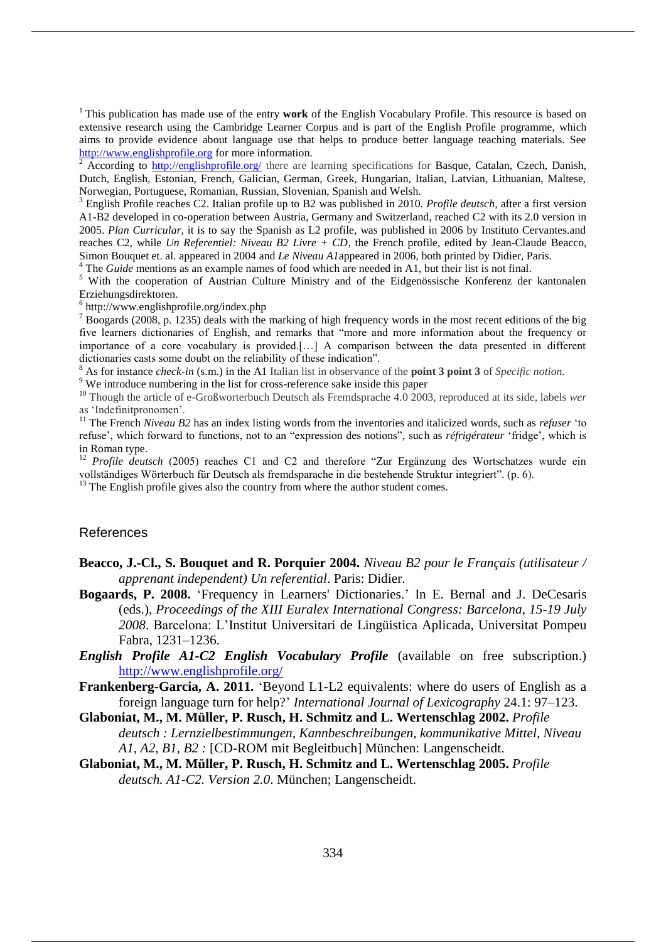<sup>1</sup> This publication has made use of the entry **work** of the English Vocabulary Profile. This resource is based on extensive research using the Cambridge Learner Corpus and is part of the English Profile programme, which aims to provide evidence about language use that helps to produce better language teaching materials. See http://www.englishprofile.org for more information.

 $\frac{2}{3}$  According to http://englishprofile.org/ there are learning specifications for Basque, Catalan, Czech, Danish, Dutch, English, Estonian, French, Galician, German, Greek, Hungarian, Italian, Latvian, Lithuanian, Maltese, Norwegian, Portuguese, Romanian, Russian, Slovenian, Spanish and Welsh.

<sup>3</sup> English Profile reaches C2. Italian profile up to B2 was published in 2010. *Profile deutsch*, after a first version A1-B2 developed in co-operation between Austria, Germany and Switzerland, reached C2 with its 2.0 version in 2005. *Plan Curricular*, it is to say the Spanish as L2 profile, was published in 2006 by Instituto Cervantes.and reaches C2, while *Un Referentiel: Niveau B2 Livre + CD*, the French profile, edited by Jean-Claude Beacco, Simon Bouquet et. al. appeared in 2004 and *Le Niveau A1*appeared in 2006, both printed by Didier, Paris.

<sup>4</sup> The *Guide* mentions as an example names of food which are needed in A1, but their list is not final.

<sup>5</sup> With the cooperation of Austrian Culture Ministry and of the Eidgenössische Konferenz der kantonalen Erziehungsdirektoren.

6 http://www.englishprofile.org/index.php

<sup>7</sup> Boogards (2008, p. 1235) deals with the marking of high frequency words in the most recent editions of the big five learners dictionaries of English, and remarks that "more and more information about the frequency or importance of a core vocabulary is provided.[…] A comparison between the data presented in different dictionaries casts some doubt on the reliability of these indication".

<sup>8</sup> As for instance *check-in* (s.m.) in the A1 Italian list in observance of the **point 3 point 3** of *Specific notion.*

<sup>9</sup> We introduce numbering in the list for cross-reference sake inside this paper

<sup>10</sup> Though the article of e-Großworterbuch Deutsch als Fremdsprache 4.0 2003, reproduced at its side, labels *wer* as 'Indefinitpronomen'.

<sup>11</sup> The French *Niveau B2* has an index listing words from the inventories and italicized words, such as *refuser* 'to refuse', which forward to functions, not to an "expression des notions", such as *réfrigérateur* 'fridge', which is in Roman type.

<sup>12</sup> *Profile deutsch* (2005) reaches C1 and C2 and therefore "Zur Ergänzung des Wortschatzes wurde ein vollständiges Wörterbuch für Deutsch als fremdsparache in die bestehende Struktur integriert". (p. 6).

 $13$  The English profile gives also the country from where the author student comes.

### References

- **Beacco, J.-Cl., S. Bouquet and R. Porquier 2004.** *Niveau B2 pour le Français (utilisateur / apprenant independent) Un referential*. Paris: Didier.
- **Bogaards, P. 2008.** 'Frequency in Learners' Dictionaries.' In E. Bernal and J. DeCesaris (eds.), *Proceedings of the XIII Euralex International Congress: Barcelona, 15-19 July 2008*. Barcelona: L'Institut Universitari de Lingüistica Aplicada, Universitat Pompeu Fabra, 1231–1236.
- *English Profile A1-C2 English Vocabulary Profile* (available on free subscription.) http://www.englishprofile.org/
- **Frankenberg-Garcia, A. 2011.** 'Beyond L1-L2 equivalents: where do users of English as a foreign language turn for help?' *International Journal of Lexicography* 24.1: 97–123.
- **Glaboniat, M., M. Müller, P. Rusch, H. Schmitz and L. Wertenschlag 2002.** *Profile deutsch : Lernzielbestimmungen, Kannbeschreibungen, kommunikative Mittel, Niveau A1, A2, B1, B2 :* [CD-ROM mit Begleitbuch] München: Langenscheidt.
- **Glaboniat, M., M. Müller, P. Rusch, H. Schmitz and L. Wertenschlag 2005.** *Profile deutsch. A1-C2. Version 2.0*. München; Langenscheidt.